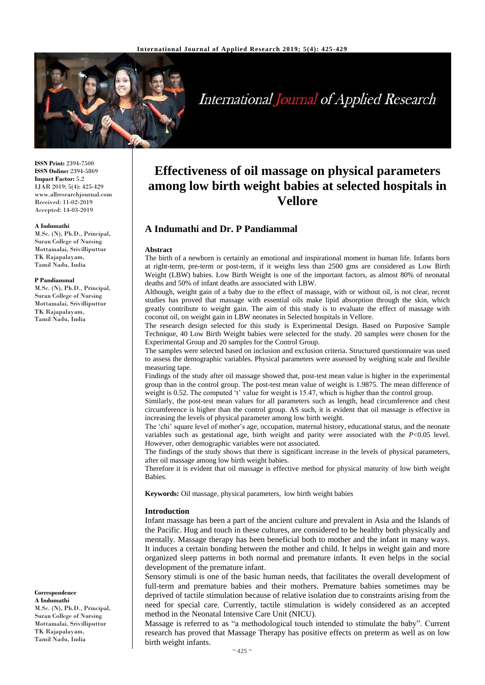

**International Journal of Applied Research** 

**ISSN Print:** 2394-7500 **ISSN Online:** 2394-5869 **Impact Factor:** 5.2 IJAR 2019; 5(4): 425-429 www.allresearchjournal.com Received: 11-02-2019 Accepted: 14-03-2019

#### **A Indumathi**

M.Sc. (N), Ph.D., Principal, Suran College of Nursing Mottamalai, Srivilliputtur TK Rajapalayam, Tamil Nadu, India

#### **P Pandiammal**

M.Sc. (N), Ph.D., Principal, Suran College of Nursing Mottamalai, Srivilliputtur TK Rajapalayam, Tamil Nadu, India

**Correspondence A Indumathi**  M.Sc. (N), Ph.D., Principal, Suran College of Nursing Mottamalai, Srivilliputtur TK Rajapalayam, Tamil Nadu, India

# **Effectiveness of oil massage on physical parameters among low birth weight babies at selected hospitals in Vellore**

# **A Indumathi and Dr. P Pandiammal**

#### **Abstract**

The birth of a newborn is certainly an emotional and inspirational moment in human life. Infants born at right-term, pre-term or post-term, if it weighs less than 2500 gms are considered as Low Birth Weight (LBW) babies. Low Birth Weight is one of the important factors, as almost 80% of neonatal deaths and 50% of infant deaths are associated with LBW.

Although, weight gain of a baby due to the effect of massage, with or without oil, is not clear, recent studies has proved that massage with essential oils make lipid absorption through the skin, which greatly contribute to weight gain. The aim of this study is to evaluate the effect of massage with coconut oil, on weight gain in LBW neonates in Selected hospitals in Vellore.

The research design selected for this study is Experimental Design. Based on Purposive Sample Technique, 40 Low Birth Weight babies were selected for the study. 20 samples were chosen for the Experimental Group and 20 samples for the Control Group.

The samples were selected based on inclusion and exclusion criteria. Structured questionnaire was used to assess the demographic variables. Physical parameters were assessed by weighing scale and flexible measuring tape.

Findings of the study after oil massage showed that, post-test mean value is higher in the experimental group than in the control group. The post-test mean value of weight is 1.9875. The mean difference of weight is 0.52. The computed 't' value for weight is 15.47, which is higher than the control group.

Similarly, the post-test mean values for all parameters such as length, head circumference and chest circumference is higher than the control group. AS such, it is evident that oil massage is effective in increasing the levels of physical parameter among low birth weight.

The 'chi' square level of mother's age, occupation, maternal history, educational status, and the neonate variables such as gestational age, birth weight and parity were associated with the *P*<0.05 level. However, other demographic variables were not associated.

The findings of the study shows that there is significant increase in the levels of physical parameters, after oil massage among low birth weight babies.

Therefore it is evident that oil massage is effective method for physical maturity of low birth weight Babies.

**Keywords:** Oil massage, physical parameters, low birth weight babies

#### **Introduction**

Infant massage has been a part of the ancient culture and prevalent in Asia and the Islands of the Pacific. Hug and touch in these cultures, are considered to be healthy both physically and mentally. Massage therapy has been beneficial both to mother and the infant in many ways. It induces a certain bonding between the mother and child. It helps in weight gain and more organized sleep patterns in both normal and premature infants. It even helps in the social development of the premature infant.

Sensory stimuli is one of the basic human needs, that facilitates the overall development of full-term and premature babies and their mothers. Premature babies sometimes may be deprived of tactile stimulation because of relative isolation due to constraints arising from the need for special care. Currently, tactile stimulation is widely considered as an accepted method in the Neonatal Intensive Care Unit (NICU).

Massage is referred to as "a methodological touch intended to stimulate the baby". Current research has proved that Massage Therapy has positive effects on preterm as well as on low birth weight infants.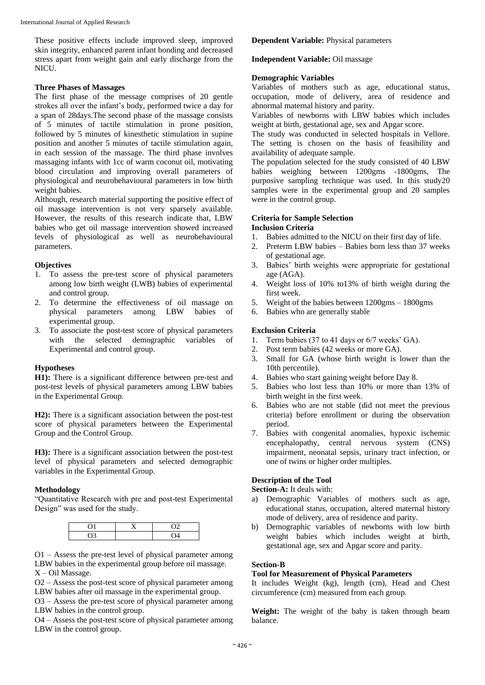These positive effects include improved sleep, improved skin integrity, enhanced parent infant bonding and decreased stress apart from weight gain and early discharge from the NICU.

#### **Three Phases of Massages**

The first phase of the message comprises of 20 gentle strokes all over the infant's body, performed twice a day for a span of 28days.The second phase of the massage consists of 5 minutes of tactile stimulation in prone position, followed by 5 minutes of kinesthetic stimulation in supine position and another 5 minutes of tactile stimulation again, in each session of the massage. The third phase involves massaging infants with 1cc of warm coconut oil, motivating blood circulation and improving overall parameters of physiological and neurobehavioural parameters in low birth weight babies.

Although, research material supporting the positive effect of oil massage intervention is not very sparsely available. However, the results of this research indicate that, LBW babies who get oil massage intervention showed increased levels of physiological as well as neurobehavioural parameters.

#### **Objectives**

- 1. To assess the pre-test score of physical parameters among low birth weight (LWB) babies of experimental and control group.
- 2. To determine the effectiveness of oil massage on physical parameters among LBW babies of experimental group.
- 3. To associate the post-test score of physical parameters with the selected demographic variables of Experimental and control group.

#### **Hypotheses**

**H1):** There is a significant difference between pre-test and post-test levels of physical parameters among LBW babies in the Experimental Group.

**H2):** There is a significant association between the post-test score of physical parameters between the Experimental Group and the Control Group.

**H3):** There is a significant association between the post-test level of physical parameters and selected demographic variables in the Experimental Group.

#### **Methodology**

"Quantitative Research with pre and post-test Experimental Design" was used for the study.

O1 – Assess the pre-test level of physical parameter among LBW babies in the experimental group before oil massage. X – Oil Massage.

O2 – Assess the post-test score of physical parameter among LBW babies after oil massage in the experimental group.

O3 – Assess the pre-test score of physical parameter among LBW babies in the control group.

O4 – Assess the post-test score of physical parameter among LBW in the control group.

### **Dependent Variable:** Physical parameters

# **Independent Variable:** Oil massage

# **Demographic Variables**

Variables of mothers such as age, educational status, occupation, mode of delivery, area of residence and abnormal maternal history and parity.

Variables of newborns with LBW babies which includes weight at birth, gestational age, sex and Apgar score.

The study was conducted in selected hospitals in Vellore. The setting is chosen on the basis of feasibility and availability of adequate sample.

The population selected for the study consisted of 40 LBW babies weighing between 1200gms -1800gms, The purposive sampling technique was used. In this study20 samples were in the experimental group and 20 samples were in the control group.

# **Criteria for Sample Selection**

# **Inclusion Criteria**

- 1. Babies admitted to the NICU on their first day of life.
- 2. Preterm LBW babies Babies born less than 37 weeks of gestational age.
- 3. Babies' birth weights were appropriate for gestational age (AGA).
- 4. Weight loss of 10% to13% of birth weight during the first week.
- 5. Weight of the babies between 1200gms 1800gms
- 6. Babies who are generally stable

# **Exclusion Criteria**

- 1. Term babies (37 to 41 days or 6/7 weeks' GA).
- 2. Post term babies (42 weeks or more GA).
- 3. Small for GA (whose birth weight is lower than the 10th percentile).
- 4. Babies who start gaining weight before Day 8.
- 5. Babies who lost less than 10% or more than 13% of birth weight in the first week.
- 6. Babies who are not stable (did not meet the previous criteria) before enrollment or during the observation period.
- 7. Babies with congenital anomalies, hypoxic ischemic encephalopathy, central nervous system (CNS) impairment, neonatal sepsis, urinary tract infection, or one of twins or higher order multiples.

# **Description of the Tool**

# **Section-A:** It deals with:

- a) Demographic Variables of mothers such as age, educational status, occupation, altered maternal history mode of delivery, area of residence and parity.
- b) Demographic variables of newborns with low birth weight babies which includes weight at birth, gestational age, sex and Apgar score and parity.

#### **Section-B**

#### **Tool for Measurement of Physical Parameters**

It includes Weight (kg), length (cm), Head and Chest circumference (cm) measured from each group.

**Weight:** The weight of the baby is taken through beam balance.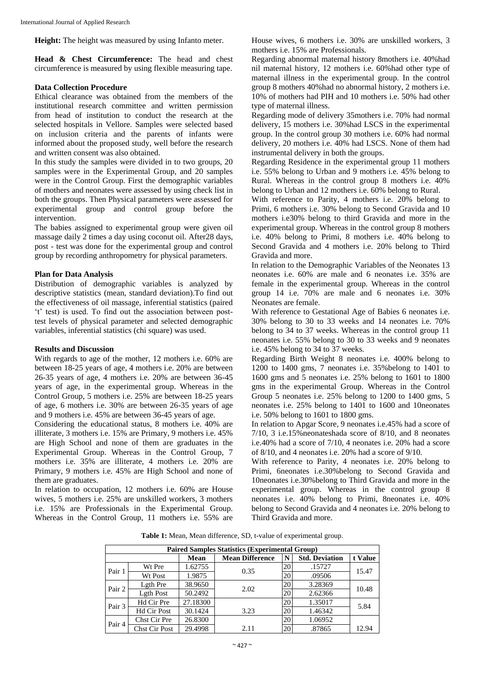**Height:** The height was measured by using Infanto meter.

**Head & Chest Circumference:** The head and chest circumference is measured by using flexible measuring tape.

#### **Data Collection Procedure**

Ethical clearance was obtained from the members of the institutional research committee and written permission from head of institution to conduct the research at the selected hospitals in Vellore. Samples were selected based on inclusion criteria and the parents of infants were informed about the proposed study, well before the research and written consent was also obtained.

In this study the samples were divided in to two groups, 20 samples were in the Experimental Group, and 20 samples were in the Control Group. First the demographic variables of mothers and neonates were assessed by using check list in both the groups. Then Physical parameters were assessed for experimental group and control group before the intervention.

The babies assigned to experimental group were given oil massage daily 2 times a day using coconut oil. After28 days, post - test was done for the experimental group and control group by recording anthropometry for physical parameters.

#### **Plan for Data Analysis**

Distribution of demographic variables is analyzed by descriptive statistics (mean, standard deviation).To find out the effectiveness of oil massage, inferential statistics (paired 't' test) is used. To find out the association between posttest levels of physical parameter and selected demographic variables, inferential statistics (chi square) was used.

#### **Results and Discussion**

With regards to age of the mother, 12 mothers i.e. 60% are between 18-25 years of age, 4 mothers i.e. 20% are between 26-35 years of age, 4 mothers i.e. 20% are between 36-45 years of age, in the experimental group. Whereas in the Control Group, 5 mothers i.e. 25% are between 18-25 years of age, 6 mothers i.e. 30% are between 26-35 years of age and 9 mothers i.e. 45% are between 36-45 years of age.

Considering the educational status, 8 mothers i.e. 40% are illiterate, 3 mothers i.e. 15% are Primary, 9 mothers i.e. 45% are High School and none of them are graduates in the Experimental Group. Whereas in the Control Group, 7 mothers i.e. 35% are illiterate, 4 mothers i.e. 20% are Primary, 9 mothers i.e. 45% are High School and none of them are graduates.

In relation to occupation, 12 mothers i.e. 60% are House wives, 5 mothers i.e. 25% are unskilled workers, 3 mothers i.e. 15% are Professionals in the Experimental Group. Whereas in the Control Group, 11 mothers i.e. 55% are House wives, 6 mothers i.e. 30% are unskilled workers, 3 mothers i.e. 15% are Professionals.

Regarding abnormal maternal history 8mothers i.e. 40%had nil maternal history, 12 mothers i.e. 60%had other type of maternal illness in the experimental group. In the control group 8 mothers 40%had no abnormal history, 2 mothers i.e. 10% of mothers had PIH and 10 mothers i.e. 50% had other type of maternal illness.

Regarding mode of delivery 35mothers i.e. 70% had normal delivery, 15 mothers i.e. 30%had LSCS in the experimental group. In the control group 30 mothers i.e. 60% had normal delivery, 20 mothers i.e. 40% had LSCS. None of them had instrumental delivery in both the groups.

Regarding Residence in the experimental group 11 mothers i.e. 55% belong to Urban and 9 mothers i.e. 45% belong to Rural. Whereas in the control group 8 mothers i.e. 40% belong to Urban and 12 mothers i.e. 60% belong to Rural.

With reference to Parity, 4 mothers i.e. 20% belong to Primi, 6 mothers i.e. 30% belong to Second Gravida and 10 mothers i.e30% belong to third Gravida and more in the experimental group. Whereas in the control group 8 mothers i.e. 40% belong to Primi, 8 mothers i.e. 40% belong to Second Gravida and 4 mothers i.e. 20% belong to Third Gravida and more.

In relation to the Demographic Variables of the Neonates 13 neonates i.e. 60% are male and 6 neonates i.e. 35% are female in the experimental group. Whereas in the control group 14 i.e. 70% are male and 6 neonates i.e. 30% Neonates are female.

With reference to Gestational Age of Babies 6 neonates i.e. 30% belong to 30 to 33 weeks and 14 neonates i.e. 70% belong to 34 to 37 weeks. Whereas in the control group 11 neonates i.e. 55% belong to 30 to 33 weeks and 9 neonates i.e. 45% belong to 34 to 37 weeks.

Regarding Birth Weight 8 neonates i.e. 400% belong to 1200 to 1400 gms, 7 neonates i.e. 35%belong to 1401 to 1600 gms and 5 neonates i.e. 25% belong to 1601 to 1800 gms in the experimental Group. Whereas in the Control Group 5 neonates i.e. 25% belong to 1200 to 1400 gms, 5 neonates i.e. 25% belong to 1401 to 1600 and 10neonates i.e. 50% belong to 1601 to 1800 gms.

In relation to Apgar Score, 9 neonates i.e.45% had a score of 7/10, 3 i.e.15%neonateshada score of 8/10, and 8 neonates i.e.40% had a score of 7/10, 4 neonates i.e. 20% had a score of 8/10, and 4 neonates i.e. 20% had a score of 9/10.

With reference to Parity, 4 neonates i.e. 20% belong to Primi, 6neonates i.e.30%belong to Second Gravida and 10neonates i.e.30%belong to Third Gravida and more in the experimental group. Whereas in the control group 8 neonates i.e. 40% belong to Primi, 8neonates i.e. 40% belong to Second Gravida and 4 neonates i.e. 20% belong to Third Gravida and more.

**Table 1:** Mean, Mean difference, SD, t-value of experimental group.

| <b>Paired Samples Statistics (Experimental Group)</b> |                      |          |                        |    |                       |         |
|-------------------------------------------------------|----------------------|----------|------------------------|----|-----------------------|---------|
|                                                       |                      | Mean     | <b>Mean Difference</b> | N  | <b>Std. Deviation</b> | t Value |
| Pair 1                                                | Wt Pre               | 1.62755  | 0.35                   | 20 | .15727                | 15.47   |
|                                                       | Wt Post              | 1.9875   |                        | 20 | .09506                |         |
| Pair 2                                                | Lgth Pre             | 38.9650  | 2.02                   | 20 | 3.28369               | 10.48   |
|                                                       | <b>Lgth Post</b>     | 50.2492  |                        | 20 | 2.62366               |         |
| Pair 3                                                | Hd Cir Pre           | 27.18300 |                        | 20 | 1.35017               | 5.84    |
|                                                       | <b>Hd Cir Post</b>   | 30.1424  | 3.23                   | 20 | 1.46342               |         |
| Pair 4                                                | Chst Cir Pre         | 26.8300  |                        | 20 | 1.06952               |         |
|                                                       | <b>Chst Cir Post</b> | 29.4998  | 2.11                   | 20 | .87865                | 12.94   |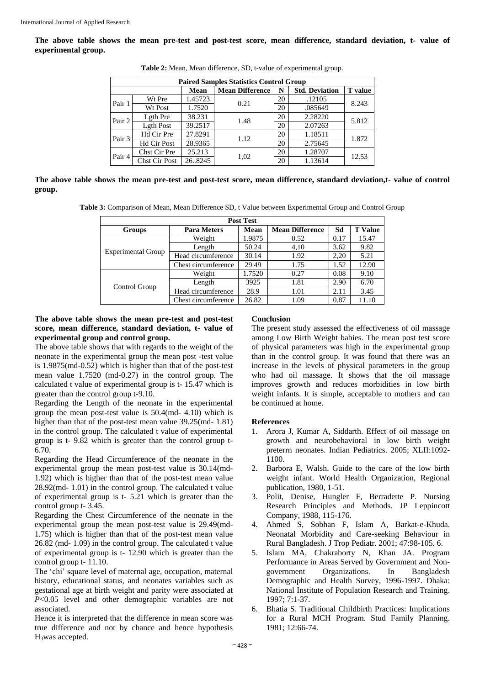**The above table shows the mean pre-test and post-test score, mean difference, standard deviation, t- value of experimental group.**

|        | <b>Paired Samples Statistics Control Group</b> |             |                        |    |                       |                |  |
|--------|------------------------------------------------|-------------|------------------------|----|-----------------------|----------------|--|
|        |                                                | <b>Mean</b> | <b>Mean Difference</b> | N  | <b>Std. Deviation</b> | <b>T</b> value |  |
| Pair 1 | Wt Pre                                         | 1.45723     | 0.21                   | 20 | .12105                | 8.243          |  |
|        | Wt Post                                        | 1.7520      |                        | 20 | .085649               |                |  |
| Pair 2 | Lgth Pre                                       | 38.231      | 1.48                   | 20 | 2.28220               | 5.812          |  |
|        | <b>Lgth Post</b>                               | 39.2517     |                        | 20 | 2.07263               |                |  |
| Pair 3 | Hd Cir Pre                                     | 27.8291     | 1.12                   | 20 | 1.18511               | 1.872          |  |
|        | <b>Hd Cir Post</b>                             | 28.9365     |                        | 20 | 2.75645               |                |  |
| Pair 4 | Chst Cir Pre                                   | 25.213      | 1,02                   | 20 | 1.28707               | 12.53          |  |
|        | <b>Chst Cir Post</b>                           | 26.8245     |                        | 20 | 1.13614               |                |  |

**Table 2:** Mean, Mean difference, SD, t-value of experimental group.

**The above table shows the mean pre-test and post-test score, mean difference, standard deviation,t- value of control group.**

**Table 3:** Comparison of Mean, Mean Difference SD, t Value between Experimental Group and Control Group

| <b>Post Test</b>          |                     |        |                        |      |                |  |  |
|---------------------------|---------------------|--------|------------------------|------|----------------|--|--|
| <b>Groups</b>             | <b>Para Meters</b>  | Mean   | <b>Mean Difference</b> | Sd   | <b>T</b> Value |  |  |
|                           | Weight              | 1.9875 | 0.52                   | 0.17 | 15.47          |  |  |
| <b>Experimental Group</b> | Length              | 50.24  | 4,10                   | 3.62 | 9.82           |  |  |
|                           | Head circumference  | 30.14  | 1.92                   | 2,20 | 5.21           |  |  |
|                           | Chest circumference | 29.49  | 1.75                   | 1.52 | 12.90          |  |  |
|                           | Weight              | 1.7520 | 0.27                   | 0.08 | 9.10           |  |  |
|                           | Length              | 3925   | 1.81                   | 2.90 | 6.70           |  |  |
| Control Group             | Head circumference  | 28.9   | 1.01                   | 2.11 | 3.45           |  |  |
|                           | Chest circumference | 26.82  | 1.09                   | 0.87 | 11.10          |  |  |

#### **The above table shows the mean pre-test and post-test score, mean difference, standard deviation, t- value of experimental group and control group.**

The above table shows that with regards to the weight of the neonate in the experimental group the mean post -test value is 1.9875(md-0.52) which is higher than that of the post-test mean value 1.7520 (md-0.27) in the control group. The calculated t value of experimental group is t- 15.47 which is greater than the control group t-9.10.

Regarding the Length of the neonate in the experimental group the mean post-test value is 50.4(md- 4.10) which is higher than that of the post-test mean value 39.25(md- 1.81) in the control group. The calculated t value of experimental group is t- 9.82 which is greater than the control group t-6.70.

Regarding the Head Circumference of the neonate in the experimental group the mean post-test value is 30.14(md-1.92) which is higher than that of the post-test mean value 28.92(md- 1.01) in the control group. The calculated t value of experimental group is t- 5.21 which is greater than the control group t- 3.45.

Regarding the Chest Circumference of the neonate in the experimental group the mean post-test value is 29.49(md-1.75) which is higher than that of the post-test mean value 26.82 (md- 1.09) in the control group. The calculated t value of experimental group is t- 12.90 which is greater than the control group t- 11.10.

The 'chi' square level of maternal age, occupation, maternal history, educational status, and neonates variables such as gestational age at birth weight and parity were associated at *P*<0.05 level and other demographic variables are not associated.

Hence it is interpreted that the difference in mean score was true difference and not by chance and hence hypothesis H3was accepted.

#### **Conclusion**

The present study assessed the effectiveness of oil massage among Low Birth Weight babies. The mean post test score of physical parameters was high in the experimental group than in the control group. It was found that there was an increase in the levels of physical parameters in the group who had oil massage. It shows that the oil massage improves growth and reduces morbidities in low birth weight infants. It is simple, acceptable to mothers and can be continued at home.

#### **References**

- 1. Arora J, Kumar A, Siddarth. Effect of oil massage on growth and neurobehavioral in low birth weight preterrn neonates. Indian Pediatrics. 2005; XLII:1092- 1100.
- 2. Barbora E, Walsh. Guide to the care of the low birth weight infant. World Health Organization, Regional publication, 1980, 1-51.
- 3. Polit, Denise, Hungler F, Berradette P. Nursing Research Principles and Methods. JP Leppincott Company, 1988, 115-176.
- 4. Ahmed S, Sobhan F, Islam A, Barkat-e-Khuda. Neonatal Morbidity and Care-seeking Behaviour in Rural Bangladesh. J Trop Pediatr. 2001; 47:98-105. 6.
- 5. Islam MA, Chakraborty N, Khan JA. Program Performance in Areas Served by Government and Nongovernment Organizations. In Bangladesh Demographic and Health Survey, 1996-1997. Dhaka: National Institute of Population Research and Training. 1997; 7:1-37.
- 6. Bhatia S. Traditional Childbirth Practices: Implications for a Rural MCH Program. Stud Family Planning. 1981; 12:66-74.